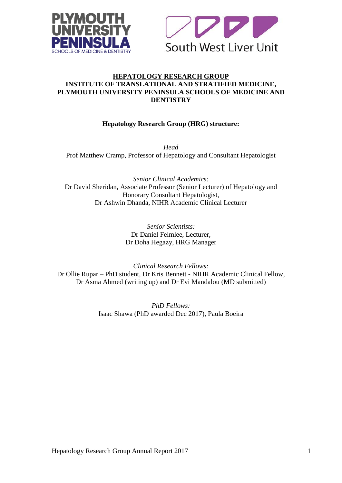



#### **HEPATOLOGY RESEARCH GROUP INSTITUTE OF TRANSLATIONAL AND STRATIFIED MEDICINE, PLYMOUTH UNIVERSITY PENINSULA SCHOOLS OF MEDICINE AND DENTISTRY**

# **Hepatology Research Group (HRG) structure:**

*Head* Prof Matthew Cramp, Professor of Hepatology and Consultant Hepatologist

*Senior Clinical Academics:* Dr David Sheridan, Associate Professor (Senior Lecturer) of Hepatology and Honorary Consultant Hepatologist, Dr Ashwin Dhanda, NIHR Academic Clinical Lecturer

> *Senior Scientists:* Dr Daniel Felmlee, Lecturer, Dr Doha Hegazy, HRG Manager

*Clinical Research Fellows:* Dr Ollie Rupar – PhD student, Dr Kris Bennett - NIHR Academic Clinical Fellow, Dr Asma Ahmed (writing up) and Dr Evi Mandalou (MD submitted)

> *PhD Fellows:* Isaac Shawa (PhD awarded Dec 2017), Paula Boeira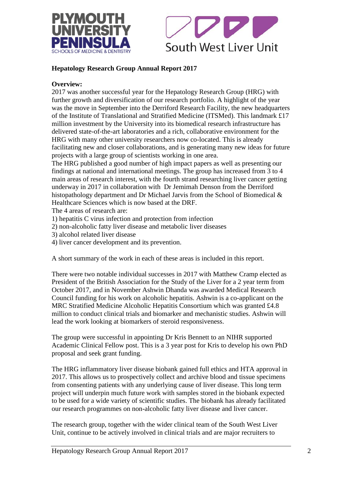



# **Hepatology Research Group Annual Report 2017**

#### **Overview:**

2017 was another successful year for the Hepatology Research Group (HRG) with further growth and diversification of our research portfolio. A highlight of the year was the move in September into the Derriford Research Facility, the new headquarters of the Institute of Translational and Stratified Medicine (ITSMed). This landmark £17 million investment by the University into its biomedical research infrastructure has delivered state-of-the-art laboratories and a rich, collaborative environment for the HRG with many other university researchers now co-located. This is already facilitating new and closer collaborations, and is generating many new ideas for future projects with a large group of scientists working in one area.

The HRG published a good number of high impact papers as well as presenting our findings at national and international meetings. The group has increased from 3 to 4 main areas of research interest, with the fourth strand researching liver cancer getting underway in 2017 in collaboration with Dr Jemimah Denson from the Derriford histopathology department and Dr Michael Jarvis from the School of Biomedical & Healthcare Sciences which is now based at the DRF.

The 4 areas of research are:

- 1) hepatitis C virus infection and protection from infection
- 2) non-alcoholic fatty liver disease and metabolic liver diseases
- 3) alcohol related liver disease
- 4) liver cancer development and its prevention.

A short summary of the work in each of these areas is included in this report.

There were two notable individual successes in 2017 with Matthew Cramp elected as President of the British Association for the Study of the Liver for a 2 year term from October 2017, and in November Ashwin Dhanda was awarded Medical Research Council funding for his work on alcoholic hepatitis. Ashwin is a co-applicant on the MRC Stratified Medicine Alcoholic Hepatitis Consortium which was granted £4.8 million to conduct clinical trials and biomarker and mechanistic studies. Ashwin will lead the work looking at biomarkers of steroid responsiveness.

The group were successful in appointing Dr Kris Bennett to an NIHR supported Academic Clinical Fellow post. This is a 3 year post for Kris to develop his own PhD proposal and seek grant funding.

The HRG inflammatory liver disease biobank gained full ethics and HTA approval in 2017. This allows us to prospectively collect and archive blood and tissue specimens from consenting patients with any underlying cause of liver disease. This long term project will underpin much future work with samples stored in the biobank expected to be used for a wide variety of scientific studies. The biobank has already facilitated our research programmes on non-alcoholic fatty liver disease and liver cancer.

The research group, together with the wider clinical team of the South West Liver Unit, continue to be actively involved in clinical trials and are major recruiters to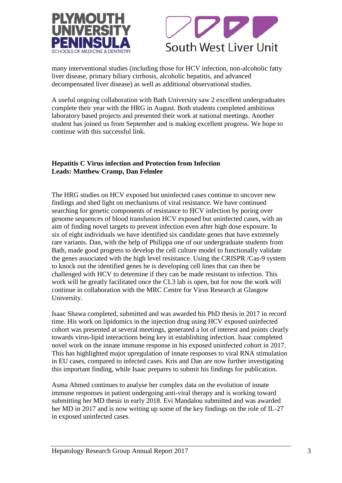



many interventional studies (including those for HCV infection, non-alcoholic fatty liver disease, primary biliary cirrhosis, alcoholic hepatitis, and advanced decompensated liver disease) as well as additional observational studies.

A useful ongoing collaboration with Bath University saw 2 excellent undergraduates complete their year with the HRG in August. Both students completed ambitious laboratory based projects and presented their work at national meetings. Another student has joined us from September and is making excellent progress. We hope to continue with this successful link.

#### **Hepatitis C Virus infection and Protection from Infection Leads: Matthew Cramp, Dan Felmlee**

The HRG studies on HCV exposed but uninfected cases continue to uncover new findings and shed light on mechanisms of viral resistance. We have continued searching for genetic components of resistance to HCV infection by poring over genome sequences of blood transfusion HCV exposed but uninfected cases, with an aim of finding novel targets to prevent infection even after high dose exposure. In six of eight individuals we have identified six candidate genes that have extremely rare variants. Dan, with the help of Philippa one of our undergraduate students from Bath, made good progress to develop the cell culture model to functionally validate the genes associated with the high level resistance. Using the CRISPR /Cas-9 system to knock out the identified genes he is developing cell lines that can then be challenged with HCV to determine if they can be made resistant to infection. This work will be greatly facilitated once the CL3 lab is open, but for now the work will continue in collaboration with the MRC Centre for Virus Research at Glasgow University.

Isaac Shawa completed, submitted and was awarded his PhD thesis in 2017 in record time. His work on lipidomics in the injection drug using HCV exposed uninfected cohort was presented at several meetings, generated a lot of interest and points clearly towards virus-lipid interactions being key in establishing infection. Isaac completed novel work on the innate immune response in his exposed uninfected cohort in 2017. This has highlighted major upregulation of innate responses to viral RNA stimulation in EU cases, compared to infected cases. Kris and Dan are now further investigating this important finding, while Isaac prepares to submit his findings for publication.

Asma Ahmed continues to analyse her complex data on the evolution of innate immune responses in patient undergoing anti-viral therapy and is working toward submitting her MD thesis in early 2018. Evi Mandalou submitted and was awarded her MD in 2017 and is now writing up some of the key findings on the role of IL-27 in exposed uninfected cases.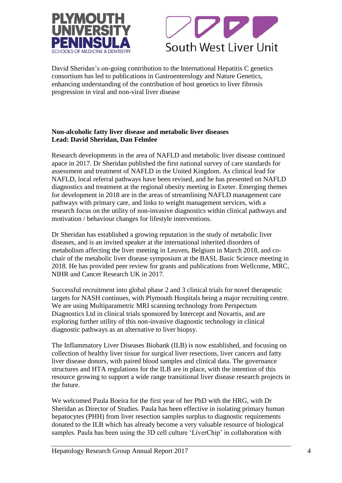



David Sheridan's on-going contribution to the International Hepatitis C genetics consortium has led to publications in Gastroenterology and Nature Genetics, enhancing understanding of the contribution of host genetics to liver fibrosis progression in viral and non-viral liver disease

#### **Non-alcoholic fatty liver disease and metabolic liver diseases Lead: David Sheridan, Dan Felmlee**

Research developments in the area of NAFLD and metabolic liver disease continued apace in 2017. Dr Sheridan published the first national survey of care standards for assessment and treatment of NAFLD in the United Kingdom. As clinical lead for NAFLD, local referral pathways have been revised, and he has presented on NAFLD diagnostics and treatment at the regional obesity meeting in Exeter. Emerging themes for development in 2018 are in the areas of streamlining NAFLD management care pathways with primary care, and links to weight management services, with a research focus on the utility of non-invasive diagnostics within clinical pathways and motivation / behaviour changes for lifestyle interventions.

Dr Sheridan has established a growing reputation in the study of metabolic liver diseases, and is an invited speaker at the international inherited disorders of metabolism affecting the liver meeting in Leuven, Belgium in March 2018, and cochair of the metabolic liver disease symposium at the BASL Basic Science meeting in 2018. He has provided peer review for grants and publications from Wellcome, MRC, NIHR and Cancer Research UK in 2017.

Successful recruitment into global phase 2 and 3 clinical trials for novel therapeutic targets for NASH continues, with Plymouth Hospitals being a major recruiting centre. We are using Multiparametric MRI scanning technology from Perspectum Diagnostics Ltd in clinical trials sponsored by Intercept and Novartis, and are exploring further utility of this non-invasive diagnostic technology in clinical diagnostic pathways as an alternative to liver biopsy.

The Inflammatory Liver Diseases Biobank (ILB) is now established, and focusing on collection of healthy liver tissue for surgical liver resections, liver cancers and fatty liver disease donors, with paired blood samples and clinical data. The governance structures and HTA regulations for the ILB are in place, with the intention of this resource growing to support a wide range transitional liver disease research projects in the future.

We welcomed Paula Boeira for the first year of her PhD with the HRG, with Dr Sheridan as Director of Studies. Paula has been effective in isolating primary human hepatocytes (PHH) from liver resection samples surplus to diagnostic requirements donated to the ILB which has already become a very valuable resource of biological samples. Paula has been using the 3D cell culture 'LiverChip' in collaboration with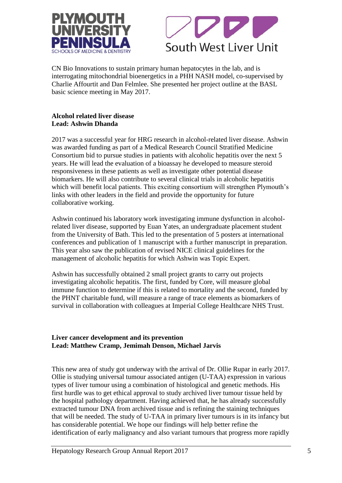



CN Bio Innovations to sustain primary human hepatocytes in the lab, and is interrogating mitochondrial bioenergetics in a PHH NASH model, co-supervised by Charlie Affourtit and Dan Felmlee. She presented her project outline at the BASL basic science meeting in May 2017.

#### **Alcohol related liver disease Lead: Ashwin Dhanda**

2017 was a successful year for HRG research in alcohol-related liver disease. Ashwin was awarded funding as part of a Medical Research Council Stratified Medicine Consortium bid to pursue studies in patients with alcoholic hepatitis over the next 5 years. He will lead the evaluation of a bioassay he developed to measure steroid responsiveness in these patients as well as investigate other potential disease biomarkers. He will also contribute to several clinical trials in alcoholic hepatitis which will benefit local patients. This exciting consortium will strengthen Plymouth's links with other leaders in the field and provide the opportunity for future collaborative working.

Ashwin continued his laboratory work investigating immune dysfunction in alcoholrelated liver disease, supported by Euan Yates, an undergraduate placement student from the University of Bath. This led to the presentation of 5 posters at international conferences and publication of 1 manuscript with a further manuscript in preparation. This year also saw the publication of revised NICE clinical guidelines for the management of alcoholic hepatitis for which Ashwin was Topic Expert.

Ashwin has successfully obtained 2 small project grants to carry out projects investigating alcoholic hepatitis. The first, funded by Core, will measure global immune function to determine if this is related to mortality and the second, funded by the PHNT charitable fund, will measure a range of trace elements as biomarkers of survival in collaboration with colleagues at Imperial College Healthcare NHS Trust.

# **Liver cancer development and its prevention Lead: Matthew Cramp, Jemimah Denson, Michael Jarvis**

This new area of study got underway with the arrival of Dr. Ollie Rupar in early 2017. Ollie is studying universal tumour associated antigen (U-TAA) expression in various types of liver tumour using a combination of histological and genetic methods. His first hurdle was to get ethical approval to study archived liver tumour tissue held by the hospital pathology department. Having achieved that, he has already successfully extracted tumour DNA from archived tissue and is refining the staining techniques that will be needed. The study of U-TAA in primary liver tumours is in its infancy but has considerable potential. We hope our findings will help better refine the identification of early malignancy and also variant tumours that progress more rapidly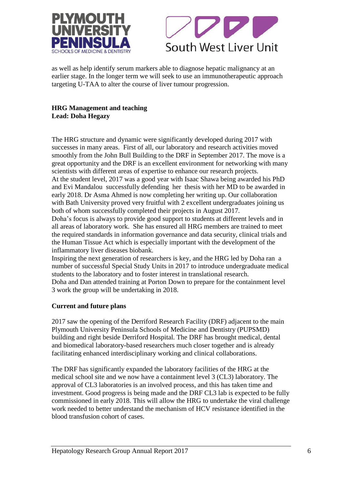



as well as help identify serum markers able to diagnose hepatic malignancy at an earlier stage. In the longer term we will seek to use an immunotherapeutic approach targeting U-TAA to alter the course of liver tumour progression.

# **HRG Management and teaching Lead: Doha Hegazy**

The HRG structure and dynamic were significantly developed during 2017 with successes in many areas. First of all, our laboratory and research activities moved smoothly from the John Bull Building to the DRF in September 2017. The move is a great opportunity and the DRF is an excellent environment for networking with many scientists with different areas of expertise to enhance our research projects.

At the student level, 2017 was a good year with Isaac Shawa being awarded his PhD and Evi Mandalou successfully defending her thesis with her MD to be awarded in early 2018. Dr Asma Ahmed is now completing her writing up. Our collaboration with Bath University proved very fruitful with 2 excellent undergraduates joining us both of whom successfully completed their projects in August 2017.

Doha's focus is always to provide good support to students at different levels and in all areas of laboratory work. She has ensured all HRG members are trained to meet the required standards in information governance and data security, clinical trials and the Human Tissue Act which is especially important with the development of the inflammatory liver diseases biobank.

Inspiring the next generation of researchers is key, and the HRG led by Doha ran a number of successful Special Study Units in 2017 to introduce undergraduate medical students to the laboratory and to foster interest in translational research. Doha and Dan attended training at Porton Down to prepare for the containment level 3 work the group will be undertaking in 2018.

# **Current and future plans**

2017 saw the opening of the Derriford Research Facility (DRF) adjacent to the main Plymouth University Peninsula Schools of Medicine and Dentistry (PUPSMD) building and right beside Derriford Hospital. The DRF has brought medical, dental and biomedical laboratory-based researchers much closer together and is already facilitating enhanced interdisciplinary working and clinical collaborations.

The DRF has significantly expanded the laboratory facilities of the HRG at the medical school site and we now have a containment level 3 (CL3) laboratory. The approval of CL3 laboratories is an involved process, and this has taken time and investment. Good progress is being made and the DRF CL3 lab is expected to be fully commissioned in early 2018. This will allow the HRG to undertake the viral challenge work needed to better understand the mechanism of HCV resistance identified in the blood transfusion cohort of cases.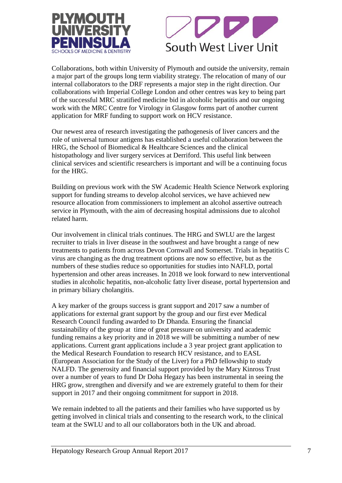



Collaborations, both within University of Plymouth and outside the university, remain a major part of the groups long term viability strategy. The relocation of many of our internal collaborators to the DRF represents a major step in the right direction. Our collaborations with Imperial College London and other centres was key to being part of the successful MRC stratified medicine bid in alcoholic hepatitis and our ongoing work with the MRC Centre for Virology in Glasgow forms part of another current application for MRF funding to support work on HCV resistance.

Our newest area of research investigating the pathogenesis of liver cancers and the role of universal tumour antigens has established a useful collaboration between the HRG, the School of Biomedical & Healthcare Sciences and the clinical histopathology and liver surgery services at Derriford. This useful link between clinical services and scientific researchers is important and will be a continuing focus for the HRG.

Building on previous work with the SW Academic Health Science Network exploring support for funding streams to develop alcohol services, we have achieved new resource allocation from commissioners to implement an alcohol assertive outreach service in Plymouth, with the aim of decreasing hospital admissions due to alcohol related harm.

Our involvement in clinical trials continues. The HRG and SWLU are the largest recruiter to trials in liver disease in the southwest and have brought a range of new treatments to patients from across Devon Cornwall and Somerset. Trials in hepatitis C virus are changing as the drug treatment options are now so effective, but as the numbers of these studies reduce so opportunities for studies into NAFLD, portal hypertension and other areas increases. In 2018 we look forward to new interventional studies in alcoholic hepatitis, non-alcoholic fatty liver disease, portal hypertension and in primary biliary cholangitis.

A key marker of the groups success is grant support and 2017 saw a number of applications for external grant support by the group and our first ever Medical Research Council funding awarded to Dr Dhanda. Ensuring the financial sustainability of the group at time of great pressure on university and academic funding remains a key priority and in 2018 we will be submitting a number of new applications. Current grant applications include a 3 year project grant application to the Medical Research Foundation to research HCV resistance, and to EASL (European Association for the Study of the Liver) for a PhD fellowship to study NALFD. The generosity and financial support provided by the Mary Kinross Trust over a number of years to fund Dr Doha Hegazy has been instrumental in seeing the HRG grow, strengthen and diversify and we are extremely grateful to them for their support in 2017 and their ongoing commitment for support in 2018.

We remain indebted to all the patients and their families who have supported us by getting involved in clinical trials and consenting to the research work, to the clinical team at the SWLU and to all our collaborators both in the UK and abroad.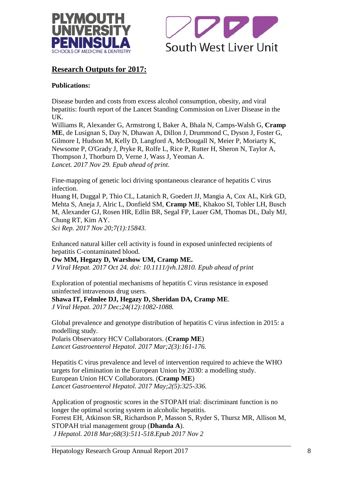



# **Research Outputs for 2017:**

# **Publications:**

[Disease burden and costs from excess alcohol consumption, obesity, and viral](https://www.ncbi.nlm.nih.gov/pubmed/29198562)  [hepatitis: fourth report of the Lancet Standing Commission on Liver Disease in the](https://www.ncbi.nlm.nih.gov/pubmed/29198562)  [UK.](https://www.ncbi.nlm.nih.gov/pubmed/29198562)

Williams R, Alexander G, Armstrong I, Baker A, Bhala N, Camps-Walsh G, **Cramp ME**, de Lusignan S, Day N, Dhawan A, Dillon J, Drummond C, Dyson J, Foster G, Gilmore I, Hudson M, Kelly D, Langford A, McDougall N, Meier P, Moriarty K, Newsome P, O'Grady J, Pryke R, Rolfe L, Rice P, Rutter H, Sheron N, Taylor A, Thompson J, Thorburn D, Verne J, Wass J, Yeoman A. *Lancet. 2017 Nov 29. Epub ahead of print.*

[Fine-mapping of genetic loci driving spontaneous clearance of hepatitis C virus](https://www.ncbi.nlm.nih.gov/pubmed/29158528)  [infection.](https://www.ncbi.nlm.nih.gov/pubmed/29158528)

Huang H, Duggal P, Thio CL, Latanich R, Goedert JJ, Mangia A, Cox AL, Kirk GD, Mehta S, Aneja J, Alric L, Donfield SM, **Cramp ME**, Khakoo SI, Tobler LH, Busch M, Alexander GJ, Rosen HR, Edlin BR, Segal FP, Lauer GM, Thomas DL, Daly MJ, Chung RT, Kim AY.

*Sci Rep. 2017 Nov 20;7(1):15843.* 

[Enhanced natural killer cell activity is found in exposed uninfected recipients of](https://www.ncbi.nlm.nih.gov/pubmed/29063663)  [hepatitis C-contaminated blood.](https://www.ncbi.nlm.nih.gov/pubmed/29063663)

**Ow MM, Hegazy D, Warshow UM, Cramp ME.** *J Viral Hepat. 2017 Oct 24. doi: 10.1111/jvh.12810. Epub ahead of print*

[Exploration of potential mechanisms of hepatitis C virus resistance in exposed](https://www.ncbi.nlm.nih.gov/pubmed/28475247)  [uninfected intravenous drug users.](https://www.ncbi.nlm.nih.gov/pubmed/28475247)

# **Shawa IT, Felmlee DJ, Hegazy D, Sheridan DA, Cramp ME**.

*J Viral Hepat. 2017 Dec;24(12):1082-1088.*

[Global prevalence and genotype distribution of hepatitis C virus infection in 2015: a](https://www.ncbi.nlm.nih.gov/pubmed/28404132)  [modelling study.](https://www.ncbi.nlm.nih.gov/pubmed/28404132)

Polaris Observatory HCV Collaborators. (**Cramp ME**) *Lancet Gastroenterol Hepatol. 2017 Mar;2(3):161-176.* 

[Hepatitis C virus prevalence and level of intervention required to achieve the WHO](https://www.ncbi.nlm.nih.gov/pubmed/28397696)  [targets for elimination in the European Union by 2030: a modelling study.](https://www.ncbi.nlm.nih.gov/pubmed/28397696) European Union HCV Collaborators. (**Cramp ME**) *Lancet Gastroenterol Hepatol. 2017 May;2(5):325-336.* 

Application of prognostic scores in the STOPAH trial: discriminant function is no longer the optimal scoring system in alcoholic hepatitis. Forrest EH, Atkinson SR, Richardson P, Masson S, Ryder S, Thursz MR, Allison M, STOPAH trial management group (**Dhanda A**). *J Hepatol. 2018 Mar;68(3):511-518.Epub 2017 Nov 2*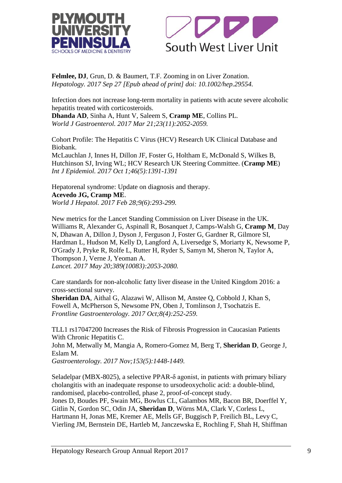



**Felmlee, DJ**, Grun, D. & Baumert, T.F. Zooming in on Liver Zonation. *Hepatology. 2017 Sep 27 [Epub ahead of print] doi: 10.1002/hep.29554.*

[Infection does not increase long-term mortality in patients with acute severe alcoholic](https://www.ncbi.nlm.nih.gov/pubmed/28373772)  [hepatitis treated with corticosteroids.](https://www.ncbi.nlm.nih.gov/pubmed/28373772)

**Dhanda AD**, Sinha A, Hunt V, Saleem S, **Cramp ME**, Collins PL. *World J Gastroenterol. 2017 Mar 21;23(11):2052-2059.*

[Cohort Profile: The Hepatitis C Virus \(HCV\) Research UK Clinical Database and](https://www.ncbi.nlm.nih.gov/pubmed/28338838)  [Biobank.](https://www.ncbi.nlm.nih.gov/pubmed/28338838)

McLauchlan J, Innes H, Dillon JF, Foster G, Holtham E, McDonald S, Wilkes B, Hutchinson SJ, Irving WL; HCV Research UK Steering Committee. (**Cramp ME**) *Int J Epidemiol. 2017 Oct 1;46(5):1391-1391* 

[Hepatorenal syndrome: Update on diagnosis and therapy.](https://www.ncbi.nlm.nih.gov/pubmed/28293378) **Acevedo JG, Cramp ME**. *World J Hepatol. 2017 Feb 28;9(6):293-299.* 

[New metrics for the Lancet Standing Commission on Liver Disease in the UK.](https://www.ncbi.nlm.nih.gov/pubmed/27989558) Williams R, Alexander G, Aspinall R, Bosanquet J, Camps-Walsh G, **Cramp M**, Day N, Dhawan A, Dillon J, Dyson J, Ferguson J, Foster G, Gardner R, Gilmore SI, Hardman L, Hudson M, Kelly D, Langford A, Liversedge S, Moriarty K, Newsome P, O'Grady J, Pryke R, Rolfe L, Rutter H, Ryder S, Samyn M, Sheron N, Taylor A, Thompson J, Verne J, Yeoman A. *Lancet. 2017 May 20;389(10083):2053-2080.* 

Care standards for non-alcoholic fatty liver disease in the United Kingdom 2016: a cross-sectional survey.

**Sheridan DA**, Aithal G, Alazawi W, Allison M, Anstee Q, Cobbold J, Khan S, Fowell A, McPherson S, Newsome PN, Oben J, Tomlinson J, Tsochatzis E. *Frontline Gastroenterology. 2017 Oct;8(4):252-259.* 

TLL1 rs17047200 Increases the Risk of Fibrosis Progression in Caucasian Patients With Chronic Hepatitis C.

John M, Metwally M, Mangia A, Romero-Gomez M, Berg T, **Sheridan D**, George J, Eslam M.

*Gastroenterology. 2017 Nov;153(5):1448-1449.* 

[Seladelpar \(MBX-8025\), a selective PPAR-δ agonist, in patients with primary biliary](https://www.ncbi.nlm.nih.gov/pubmed/28818518)  [cholangitis with an inadequate response to ursodeoxycholic acid: a double-blind,](https://www.ncbi.nlm.nih.gov/pubmed/28818518)  [randomised, placebo-controlled, phase 2, proof-of-concept study.](https://www.ncbi.nlm.nih.gov/pubmed/28818518) Jones D, Boudes PF, Swain MG, Bowlus CL, Galambos MR, Bacon BR, Doerffel Y, Gitlin N, Gordon SC, Odin JA, **Sheridan D**, Wörns MA, Clark V, Corless L, Hartmann H, Jonas ME, Kremer AE, Mells GF, Buggisch P, Freilich BL, Levy C, Vierling JM, Bernstein DE, Hartleb M, Janczewska E, Rochling F, Shah H, Shiffman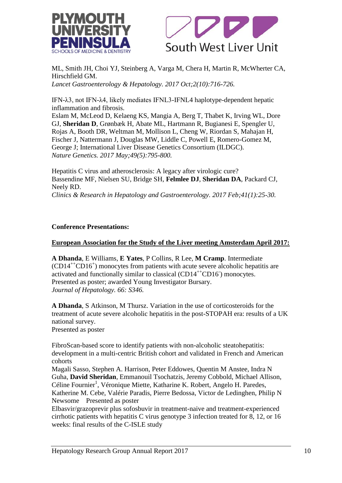



ML, Smith JH, Choi YJ, Steinberg A, Varga M, Chera H, Martin R, McWherter CA, Hirschfield GM.

*Lancet Gastroenterology & Hepatology. 2017 Oct;2(10):716-726.* 

IFN-λ3, not IFN-λ4, likely mediates IFNL3-IFNL4 haplotype-dependent hepatic inflammation and fibrosis.

Eslam M, McLeod D, Kelaeng KS, Mangia A, Berg T, Thabet K, Irving WL, Dore GJ, **Sheridan D**, Grønbæk H, Abate ML, Hartmann R, Bugianesi E, Spengler U, Rojas A, Booth DR, Weltman M, Mollison L, Cheng W, Riordan S, Mahajan H, Fischer J, Nattermann J, Douglas MW, Liddle C, Powell E, Romero-Gomez M, George J; International Liver Disease Genetics Consortium (ILDGC). *Nature Genetics. 2017 May;49(5):795-800.* 

Hepatitis C virus and atherosclerosis: A legacy after virologic cure? Bassendine MF, Nielsen SU, Bridge SH, **Felmlee DJ**, **Sheridan DA**, Packard CJ, Neely RD. *Clinics & Research in Hepatology and Gastroenterology. 2017 Feb;41(1):25-30.* 

# **Conference Presentations:**

#### **European Association for the Study of the Liver meeting Amsterdam April 2017:**

**A Dhanda**, E Williams, **E Yates**, P Collins, R Lee, **M Cramp**. Intermediate (CD14++CD16<sup>+</sup> ) monocytes from patients with acute severe alcoholic hepatitis are activated and functionally similar to classical (CD14<sup>++</sup>CD16) monocytes. Presented as poster; awarded Young Investigator Bursary. *Journal of Hepatology. 66: S346.*

**A Dhanda**, S Atkinson, M Thursz. Variation in the use of corticosteroids for the treatment of acute severe alcoholic hepatitis in the post-STOPAH era: results of a UK national survey. Presented as poster

FibroScan-based score to identify patients with non-alcoholic steatohepatitis: development in a multi-centric British cohort and validated in French and American cohorts

Magali Sasso, Stephen A. Harrison, Peter Eddowes, Quentin M Anstee, Indra N Guha, **David Sheridan**, Emmanouil Tsochatzis, Jeremy Cobbold, Michael Allison, Céline Fournier<sup>1</sup>, Véronique Miette, Katharine K. Robert, Angelo H. Paredes, Katherine M. Cebe, Valérie Paradis, Pierre Bedossa, Victor de Ledinghen, Philip N

Newsome Presented as poster

Elbasvir/grazoprevir plus sofosbuvir in treatment-naive and treatment-experienced cirrhotic patients with hepatitis C virus genotype 3 infection treated for 8, 12, or 16 weeks: final results of the C-ISLE study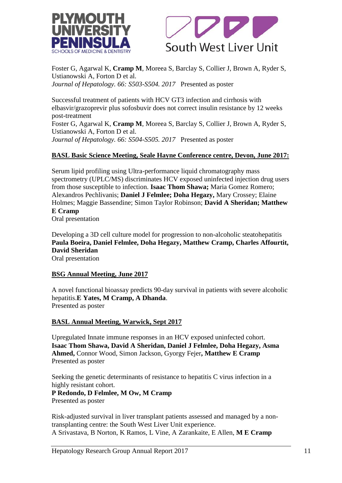



Foster G, Agarwal K, **Cramp M**, Moreea S, Barclay S, Collier J, Brown A, Ryder S, Ustianowski A, Forton D et al. *Journal of Hepatology. 66: S503-S504. 2017* Presented as poster

Successful treatment of patients with HCV GT3 infection and cirrhosis with elbasvir/grazoprevir plus sofosbuvir does not correct insulin resistance by 12 weeks post-treatment Foster G, Agarwal K, **Cramp M**, Moreea S, Barclay S, Collier J, Brown A, Ryder S, Ustianowski A, Forton D et al. *Journal of Hepatology. 66: S504-S505. 2017* Presented as poster

# **BASL Basic Science Meeting, Seale Hayne Conference centre, Devon, June 2017:**

Serum lipid profiling using Ultra-performance liquid chromatography mass spectrometry (UPLC/MS) discriminates HCV exposed uninfected injection drug users from those susceptible to infection. **Isaac Thom Shawa;** Maria Gomez Romero; Alexandros Pechlivanis; **Daniel J Felmlee; Doha Hegazy,** Mary Crossey; Elaine Holmes; Maggie Bassendine; Simon Taylor Robinson; **David A Sheridan; Matthew E Cramp**

Oral presentation

Developing a 3D cell culture model for progression to non-alcoholic steatohepatitis **Paula Boeira, Daniel Felmlee, Doha Hegazy, Matthew Cramp, Charles Affourtit, David Sheridan** Oral presentation

#### **BSG Annual Meeting, June 2017**

A novel functional bioassay predicts 90-day survival in patients with severe alcoholic hepatitis.**E Yates, M Cramp, A Dhanda**. Presented as poster

#### **BASL Annual Meeting, Warwick, Sept 2017**

Upregulated Innate immune responses in an HCV exposed uninfected cohort. **Isaac Thom Shawa, David A Sheridan, Daniel J Felmlee, Doha Hegazy, Asma Ahmed,** Connor Wood, Simon Jackson, Gyorgy Fejer**, Matthew E Cramp**  Presented as poster

Seeking the genetic determinants of resistance to hepatitis C virus infection in a highly resistant cohort.

#### **P Redondo, D Felmlee, M Ow, M Cramp** Presented as poster

Risk-adjusted survival in liver transplant patients assessed and managed by a nontransplanting centre: the South West Liver Unit experience. A Srivastava, B Norton, K Ramos, L Vine, A Zarankaite, E Allen, **M E Cramp**